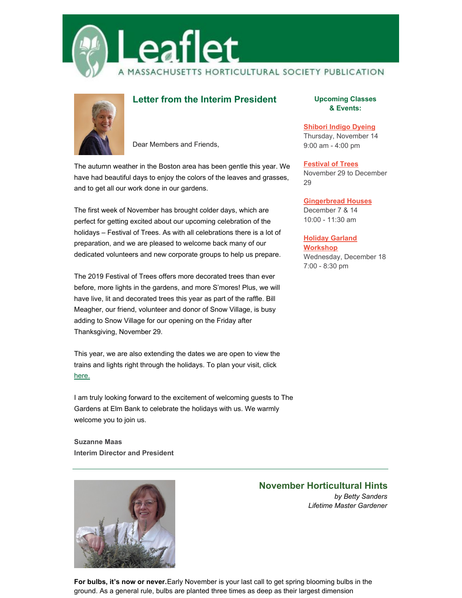



## **Letter from the Interim President**

Dear Members and Friends,

The autumn weather in the Boston area has been gentle this year. We have had beautiful days to enjoy the colors of the leaves and grasses, and to get all our work done in our gardens.

The first week of November has brought colder days, which are perfect for getting excited about our upcoming celebration of the holidays – Festival of Trees. As with all celebrations there is a lot of preparation, and we are pleased to welcome back many of our dedicated volunteers and new corporate groups to help us prepare.

The 2019 Festival of Trees offers more decorated trees than ever before, more lights in the gardens, and more S'mores! Plus, we will have live, lit and decorated trees this year as part of the raffle. Bill Meagher, our friend, volunteer and donor of Snow Village, is busy adding to Snow Village for our opening on the Friday after Thanksgiving, November 29.

This year, we are also extending the dates we are open to view the trains and lights right through the holidays. To plan your visit, click [here.](https://masshort.org/garden-event/festival-of-trees/)

I am truly looking forward to the excitement of welcoming guests to The Gardens at Elm Bank to celebrate the holidays with us. We warmly welcome you to join us.

**Suzanne Maas**



# **[Shibori](http://events.r20.constantcontact.com/register/event?oeidk=a07egjsyrcib6bb3643&fbclid=IwAR3Rb1900887Ix_At78-T5cgxJ3XB5ofPWzt7g57UACTK5jEN_dvGoEVN9M&llr=kzaorjcab) Indigo Dyeing**

Thursday, November 14 9:00 am - 4:00 pm

### **[Festival](https://masshort.org/garden-event/festival-of-trees/) of Trees**

November 29 to December 29

**[Gingerbread](http://events.r20.constantcontact.com/register/event?oeidk=a07egj492eja889fdd1&llr=kzaorjcab) Houses**

December 7 & 14 10:00 - 11:30 am

# **Holiday Garland**

**[Workshop](http://events.r20.constantcontact.com/register/event?oeidk=a07egjwput164f30869&llr=kzaorjcab)** Wednesday, December 18 7:00 - 8:30 pm

**Interim Director and President**



**November Horticultural Hints** *by Betty Sanders*

*Lifetime Master Gardener*

**For bulbs, it's now or never.**Early November is your last call to get spring blooming bulbs in the ground. As a general rule, bulbs are planted three times as deep as their largest dimension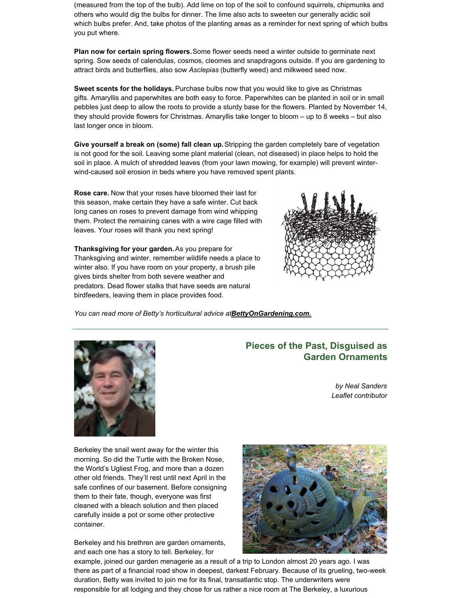(measured from the top of the bulb). Add lime on top of the soil to confound squirrels, chipmunks and others who would dig the bulbs for dinner. The lime also acts to sweeten our generally acidic soil which bulbs prefer. And, take photos of the planting areas as a reminder for next spring of which bulbs you put where.

**Plan now for certain spring flowers.**Some flower seeds need a winter outside to germinate next spring. Sow seeds of calendulas, cosmos, cleomes and snapdragons outside. If you are gardening to attract birds and butterflies, also sow *Asclepias* (butterfly weed) and milkweed seed now.

**Sweet scents for the holidays.** Purchase bulbs now that you would like to give as Christmas gifts. Amaryllis and paperwhites are both easy to force. Paperwhites can be planted in soil or in small pebbles just deep to allow the roots to provide a sturdy base for the flowers. Planted by November 14, they should provide flowers for Christmas. Amaryllis take longer to bloom – up to 8 weeks – but also last longer once in bloom.

**Give yourself a break on (some) fall clean up.**Stripping the garden completely bare of vegetation is not good for the soil. Leaving some plant material (clean, not diseased) in place helps to hold the soil in place. A mulch of shredded leaves (from your lawn mowing, for example) will prevent winterwind-caused soil erosion in beds where you have removed spent plants.

**Rose care.** Now that your roses have bloomed their last for this season, make certain they have a safe winter. Cut back long canes on roses to prevent damage from wind whipping them. Protect the remaining canes with a wire cage filled with leaves. Your roses will thank you next spring!

**Thanksgiving for your garden.**As you prepare for Thanksgiving and winter, remember wildlife needs a place to winter also. If you have room on your property, a brush pile gives birds shelter from both severe weather and predators. Dead flower stalks that have seeds are natural birdfeeders, leaving them in place provides food.



*You can read more of Betty's horticultural advice at[BettyOnGardening.com.](http://www.bettyongardening.com/)*



# **Pieces of the Past, Disguised as Garden Ornaments**

*by Neal Sanders Leaflet contributor*

Berkeley the snail went away for the winter this morning. So did the Turtle with the Broken Nose, the World's Ugliest Frog, and more than a dozen other old friends. They'll rest until next April in the safe confines of our basement. Before consigning them to their fate, though, everyone was first cleaned with a bleach solution and then placed carefully inside a pot or some other protective container.

Berkeley and his brethren are garden ornaments, and each one has a story to tell. Berkeley, for



example, joined our garden menagerie as a result of a trip to London almost 20 years ago. I was there as part of a financial road show in deepest, darkest February. Because of its grueling, two-week duration, Betty was invited to join me for its final, transatlantic stop. The underwriters were responsible for all lodging and they chose for us rather a nice room at The Berkeley, a luxurious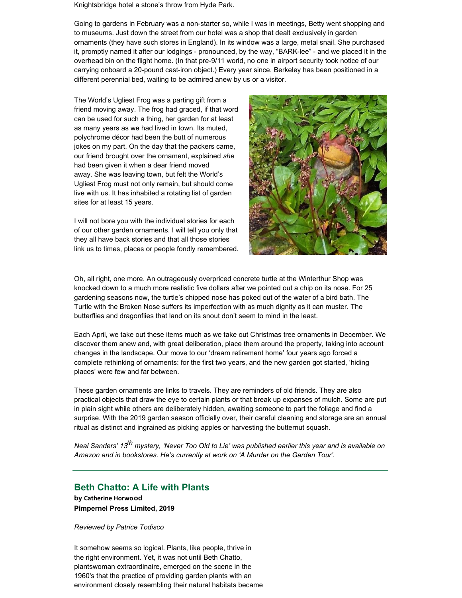Knightsbridge hotel a stone's throw from Hyde Park.

Going to gardens in February was a non-starter so, while I was in meetings, Betty went shopping and to museums. Just down the street from our hotel was a shop that dealt exclusively in garden ornaments (they have such stores in England). In its window was a large, metal snail. She purchased it, promptly named it after our lodgings - pronounced, by the way, "BARK-lee" - and we placed it in the overhead bin on the flight home. (In that pre-9/11 world, no one in airport security took notice of our carrying onboard a 20-pound cast-iron object.) Every year since, Berkeley has been positioned in a different perennial bed, waiting to be admired anew by us or a visitor.

The World's Ugliest Frog was a parting gift from a friend moving away. The frog had graced, if that word can be used for such a thing, her garden for at least as many years as we had lived in town. Its muted, polychrome décor had been the butt of numerous jokes on my part. On the day that the packers came, our friend brought over the ornament, explained *she* had been given it when a dear friend moved away. She was leaving town, but felt the World's Ugliest Frog must not only remain, but should come live with us. It has inhabited a rotating list of garden sites for at least 15 years.

I will not bore you with the individual stories for each of our other garden ornaments. I will tell you only that they all have back stories and that all those stories link us to times, places or people fondly remembered.



Oh, all right, one more. An outrageously overpriced concrete turtle at the Winterthur Shop was knocked down to a much more realistic five dollars after we pointed out a chip on its nose. For 25 gardening seasons now, the turtle's chipped nose has poked out of the water of a bird bath. The Turtle with the Broken Nose suffers its imperfection with as much dignity as it can muster. The butterflies and dragonflies that land on its snout don't seem to mind in the least.

Each April, we take out these items much as we take out Christmas tree ornaments in December. We discover them anew and, with great deliberation, place them around the property, taking into account changes in the landscape. Our move to our 'dream retirement home' four years ago forced a complete rethinking of ornaments: for the first two years, and the new garden got started, 'hiding places' were few and far between.

These garden ornaments are links to travels. They are reminders of old friends. They are also practical objects that draw the eye to certain plants or that break up expanses of mulch. Some are put in plain sight while others are deliberately hidden, awaiting someone to part the foliage and find a surprise. With the 2019 garden season officially over, their careful cleaning and storage are an annual ritual as distinct and ingrained as picking apples or harvesting the butternut squash.

Neal Sanders' 13<sup>th</sup> mystery, 'Never Too Old to Lie' was published earlier this year and is available on *Amazon and in bookstores. He's currently at work on 'A Murder on the Garden Tour'.*

#### **Beth Chatto: A Life with Plants**

**by Catherine Horwood Pimpernel Press Limited, 2019**

*Reviewed by Patrice Todisco*

It somehow seems so logical. Plants, like people, thrive in the right environment. Yet, it was not until Beth Chatto, plantswoman extraordinaire, emerged on the scene in the 1960's that the practice of providing garden plants with an environment closely resembling their natural habitats became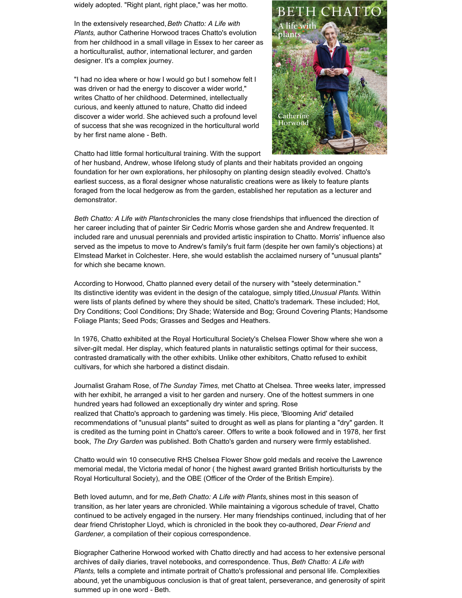widely adopted. "Right plant, right place," was her motto.

In the extensively researched,*Beth Chatto: A Life with Plants,* author Catherine Horwood traces Chatto's evolution from her childhood in a small village in Essex to her career as a horticulturalist, author, international lecturer, and garden designer. It's a complex journey.

"I had no idea where or how I would go but I somehow felt I was driven or had the energy to discover a wider world," writes Chatto of her childhood. Determined, intellectually curious, and keenly attuned to nature, Chatto did indeed discover a wider world. She achieved such a profound level of success that she was recognized in the horticultural world by her first name alone - Beth.

Chatto had little formal horticultural training. With the support



of her husband, Andrew, whose lifelong study of plants and their habitats provided an ongoing foundation for her own explorations, her philosophy on planting design steadily evolved. Chatto's earliest success, as a floral designer whose naturalistic creations were as likely to feature plants foraged from the local hedgerow as from the garden, established her reputation as a lecturer and demonstrator.

*Beth Chatto: A Life with Plants*chronicles the many close friendships that influenced the direction of her career including that of painter Sir Cedric Morris whose garden she and Andrew frequented. It included rare and unusual perennials and provided artistic inspiration to Chatto. Morris' influence also served as the impetus to move to Andrew's family's fruit farm (despite her own family's objections) at Elmstead Market in Colchester. Here, she would establish the acclaimed nursery of "unusual plants" for which she became known.

According to Horwood, Chatto planned every detail of the nursery with "steely determination." Its distinctive identity was evident in the design of the catalogue, simply titled,*Unusual Plants*. Within were lists of plants defined by where they should be sited, Chatto's trademark. These included; Hot, Dry Conditions; Cool Conditions; Dry Shade; Waterside and Bog; Ground Covering Plants; Handsome Foliage Plants; Seed Pods; Grasses and Sedges and Heathers.

In 1976, Chatto exhibited at the Royal Horticultural Society's Chelsea Flower Show where she won a silver-gilt medal. Her display, which featured plants in naturalistic settings optimal for their success, contrasted dramatically with the other exhibits. Unlike other exhibitors, Chatto refused to exhibit cultivars, for which she harbored a distinct disdain.

Journalist Graham Rose, of*The Sunday Times,* met Chatto at Chelsea. Three weeks later, impressed with her exhibit, he arranged a visit to her garden and nursery. One of the hottest summers in one hundred years had followed an exceptionally dry winter and spring. Rose realized that Chatto's approach to gardening was timely. His piece, 'Blooming Arid' detailed recommendations of "unusual plants" suited to drought as well as plans for planting a "dry" garden. It is credited as the turning point in Chatto's career. Offers to write a book followed and in 1978, her first book, *The Dry Garden* was published. Both Chatto's garden and nursery were firmly established.

Chatto would win 10 consecutive RHS Chelsea Flower Show gold medals and receive the Lawrence memorial medal, the Victoria medal of honor ( the highest award granted British horticulturists by the Royal Horticultural Society), and the OBE (Officer of the Order of the British Empire).

Beth loved autumn, and for me,*Beth Chatto: A Life with Plants,*shines most in this season of transition, as her later years are chronicled. While maintaining a vigorous schedule of travel, Chatto continued to be actively engaged in the nursery. Her many friendships continued, including that of her dear friend Christopher Lloyd, which is chronicled in the book they co-authored, *Dear Friend and Gardener,* a compilation of their copious correspondence.

Biographer Catherine Horwood worked with Chatto directly and had access to her extensive personal archives of daily diaries, travel notebooks, and correspondence. Thus, *Beth Chatto: A Life with Plants,* tells a complete and intimate portrait of Chatto's professional and personal life. Complexities abound, yet the unambiguous conclusion is that of great talent, perseverance, and generosity of spirit summed up in one word - Beth.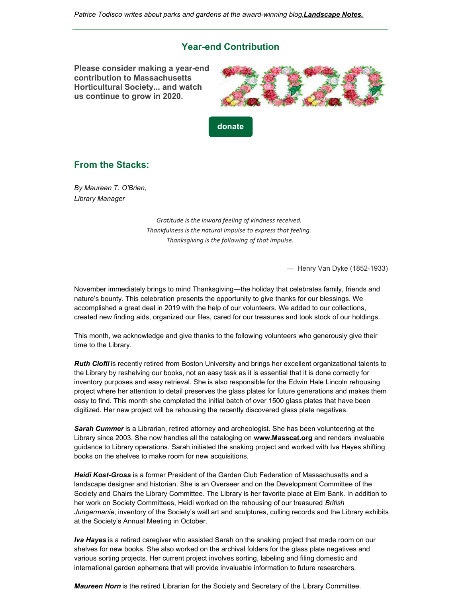*Patrice Todisco writes about parks and gardens at the award-winning blog,[Landscape](http://www.landscapenotes.com/) Notes.*

### **Year-end Contribution**

**Please consider making a year-end contribution to Massachusetts Horticultural Society... and watch us continue to grow in 2020.**





### **From the Stacks:**

*By Maureen T. O'Brien, Library Manager*

> *Gratitude is the inward feeling of kindness received. Thankfulness is the natural impulse to express that feeling. Thanksgiving is the following of that impulse.*

> > — Henry Van Dyke (1852-1933)

November immediately brings to mind Thanksgiving—the holiday that celebrates family, friends and nature's bounty. This celebration presents the opportunity to give thanks for our blessings. We accomplished a great deal in 2019 with the help of our volunteers. We added to our collections, created new finding aids, organized our files, cared for our treasures and took stock of our holdings.

This month, we acknowledge and give thanks to the following volunteers who generously give their time to the Library.

*Ruth Ciofli* is recently retired from Boston University and brings her excellent organizational talents to the Library by reshelving our books, not an easy task as it is essential that it is done correctly for inventory purposes and easy retrieval. She is also responsible for the Edwin Hale Lincoln rehousing project where her attention to detail preserves the glass plates for future generations and makes them easy to find. This month she completed the initial batch of over 1500 glass plates that have been digitized. Her new project will be rehousing the recently discovered glass plate negatives.

*Sarah Cummer* is a Librarian, retired attorney and archeologist. She has been volunteering at the Library since 2003. She now handles all the cataloging on **[www.Masscat.org](http://www.masscat.org)** and renders invaluable guidance to Library operations. Sarah initiated the snaking project and worked with Iva Hayes shifting books on the shelves to make room for new acquisitions.

*Heidi Kost-Gross* is a former President of the Garden Club Federation of Massachusetts and a landscape designer and historian. She is an Overseer and on the Development Committee of the Society and Chairs the Library Committee. The Library is her favorite place at Elm Bank. In addition to her work on Society Committees, Heidi worked on the rehousing of our treasured *British Jungermanie*, inventory of the Society's wall art and sculptures, culling records and the Library exhibits at the Society's Annual Meeting in October.

*Iva Hayes* is a retired caregiver who assisted Sarah on the snaking project that made room on our shelves for new books. She also worked on the archival folders for the glass plate negatives and various sorting projects. Her current project involves sorting, labeling and filing domestic and international garden ephemera that will provide invaluable information to future researchers.

*Maureen Horn* is the retired Librarian for the Society and Secretary of the Library Committee.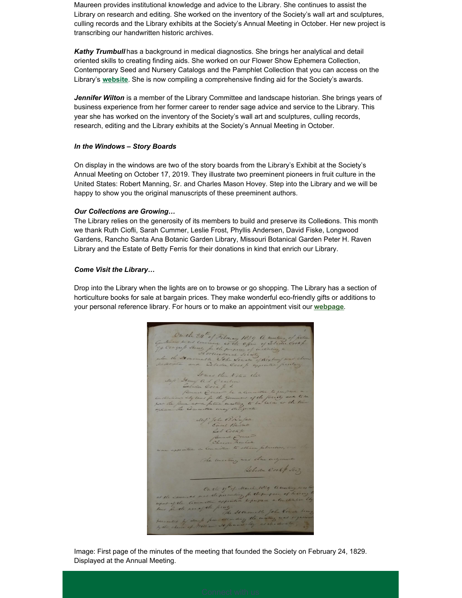Maureen provides institutional knowledge and advice to the Library. She continues to assist the Library on research and editing. She worked on the inventory of the Society's wall art and sculptures, culling records and the Library exhibits at the Society's Annual Meeting in October. Her new project is transcribing our handwritten historic archives.

*Kathy Trumbull* has a background in medical diagnostics. She brings her analytical and detail oriented skills to creating finding aids. She worked on our Flower Show Ephemera Collection, Contemporary Seed and Nursery Catalogs and the Pamphlet Collection that you can access on the Library's **[website](https://masshort.org/the-library/)**. She is now compiling a comprehensive finding aid for the Society's awards.

*Jennifer Wilton* is a member of the Library Committee and landscape historian. She brings years of business experience from her former career to render sage advice and service to the Library. This year she has worked on the inventory of the Society's wall art and sculptures, culling records, research, editing and the Library exhibits at the Society's Annual Meeting in October.

#### *In the Windows – Story Boards*

On display in the windows are two of the story boards from the Library's Exhibit at the Society's Annual Meeting on October 17, 2019. They illustrate two preeminent pioneers in fruit culture in the United States: Robert Manning, Sr. and Charles Mason Hovey. Step into the Library and we will be happy to show you the original manuscripts of these preeminent authors.

#### *Our Collections are Growing…*

The Library relies on the generosity of its members to build and preserve its Collections. This month we thank Ruth Ciofli, Sarah Cummer, Leslie Frost, Phyllis Andersen, David Fiske, Longwood Gardens, Rancho Santa Ana Botanic Garden Library, Missouri Botanical Garden Peter H. Raven Library and the Estate of Betty Ferris for their donations in kind that enrich our Library.

#### *Come Visit the Library…*

Drop into the Library when the lights are on to browse or go shopping. The Library has a section of horticulture books for sale at bargain prices. They make wonderful eco-friendly gifts or additions to your personal reference library. For hours or to make an appointment visit our **[webpage](https://masshort.org/the-library/)**.

Gueta de 24th of February 1829 A unition of fisten<br>Guetam so as convenient at the 6 fice of itelective cook for a faith of the cook for the fact that the faith of the form of the form of the set of the set of the set of th trues then Notes that Maps Henry a. S. Cearbon Constitutions of Course the a Committee to pressure a-<br>Constitutions Lighters for the Gommons of the focusts and to be<br>properly the Committee ency studies to be held as the time Mel John BRuful Reb Cooken Checon Menhale with to ablain The meeting was then any Rebeder Cook & Socy Outhe 1 th March 1029 am at the same as and the previous for the purpose of the<br>expect of the Committee appointed be pupase a Country recented by itemp from attending the envitory<br>by the chain of Welliam Stefamouse by as elec by the chain

Image: First page of the minutes of the meeting that founded the Society on February 24, 1829. Displayed at the Annual Meeting.